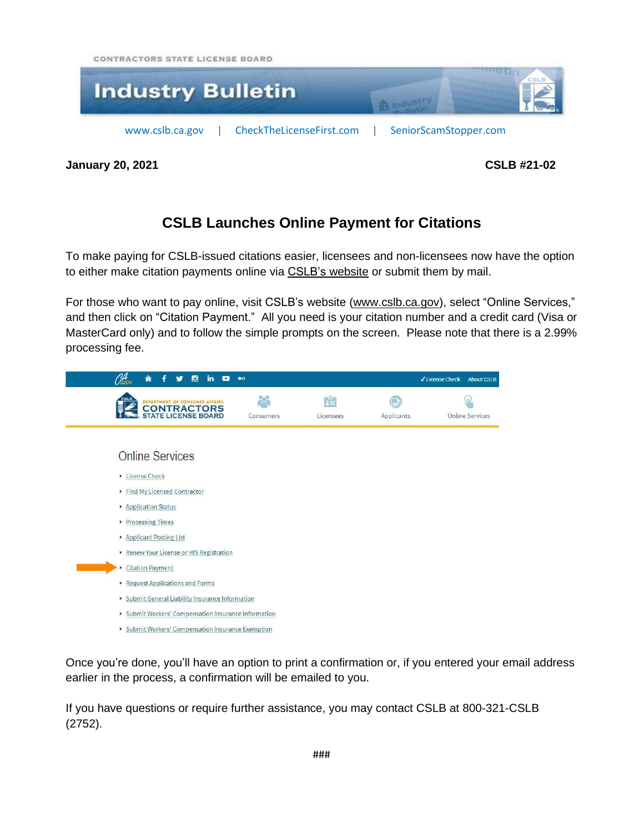CONTRACTORS STATE LICENSE BOARD



**January 20, 2021 CSLB #21-02**

## **CSLB Launches Online Payment for Citations**

To make paying for CSLB-issued citations easier, licensees and non-licensees now have the option to either make citation payments online via CSLB's [website](https://cslb.ca.gov/CitationPayment.aspx) or submit them by mail.

For those who want to pay online, visit CSLB's website [\(www.cslb.ca.gov\)](http://www.cslb.ca.gov/), select "Online Services," and then click on "Citation Payment." All you need is your citation number and a credit card (Visa or MasterCard only) and to follow the simple prompts on the screen. Please note that there is a 2.99% processing fee.

| ы<br>in<br>œ<br>A                                                                  | $\bullet$ |                |            | √ License Check<br><b>About CSLB</b> |  |
|------------------------------------------------------------------------------------|-----------|----------------|------------|--------------------------------------|--|
| <b>DEPARTMENT OF CONSUMER AFFAIRS</b><br><b>CONTRACTORS</b><br>STATE LICENSE BOARD | Consumers | 眉<br>Licensees | Applicants | <b>Online Services</b>               |  |
|                                                                                    |           |                |            |                                      |  |
| <b>Online Services</b>                                                             |           |                |            |                                      |  |
| License Check                                                                      |           |                |            |                                      |  |
| Find My Licensed Contractor                                                        |           |                |            |                                      |  |
| Application Status                                                                 |           |                |            |                                      |  |
| Processing Times                                                                   |           |                |            |                                      |  |
| Applicant Posting List                                                             |           |                |            |                                      |  |
| Renew Your License or HIS Registration                                             |           |                |            |                                      |  |
| <b>Citation Payment</b><br>٠                                                       |           |                |            |                                      |  |
| Request Applications and Forms                                                     |           |                |            |                                      |  |
| Submit General Liability Insurance Information                                     |           |                |            |                                      |  |
| Submit Workers' Compensation Insurance Information                                 |           |                |            |                                      |  |
| ▶ Submit Workers' Compensation Insurance Exemption                                 |           |                |            |                                      |  |

Once you're done, you'll have an option to print a confirmation or, if you entered your email address earlier in the process, a confirmation will be emailed to you.

If you have questions or require further assistance, you may contact CSLB at 800-321-CSLB (2752).